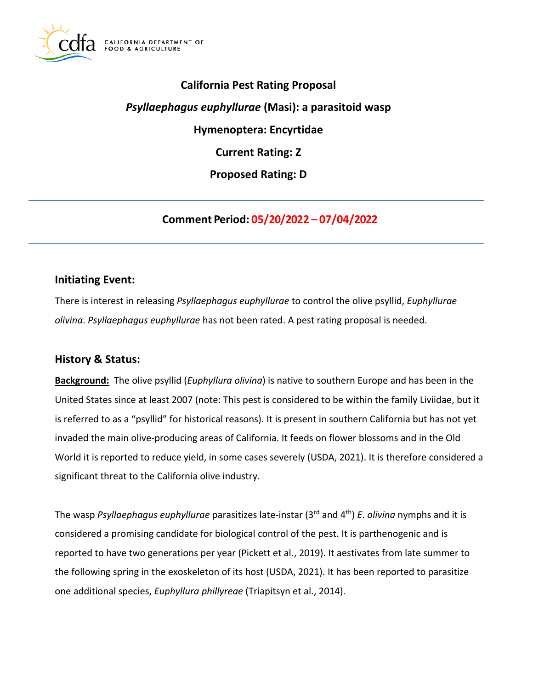

# **California Pest Rating Proposal**  *Psyllaephagus euphyllurae* **(Masi): a parasitoid wasp Hymenoptera: Encyrtidae Current Rating: Z Proposed Rating: D**

**Comment Period: 05/20/2022 – 07/04/2022**

## **Initiating Event:**

There is interest in releasing *Psyllaephagus euphyllurae* to control the olive psyllid, *Euphyllurae olivina*. *Psyllaephagus euphyllurae* has not been rated. A pest rating proposal is needed.

## **History & Status:**

**Background:** The olive psyllid (*Euphyllura olivina*) is native to southern Europe and has been in the United States since at least 2007 (note: This pest is considered to be within the family Liviidae, but it is referred to as a "psyllid" for historical reasons). It is present in southern California but has not yet invaded the main olive-producing areas of California. It feeds on flower blossoms and in the Old World it is reported to reduce yield, in some cases severely (USDA, 2021). It is therefore considered a significant threat to the California olive industry.

The wasp *Psyllaephagus euphyllurae* parasitizes late-instar (3rd and 4th) *E*. *olivina* nymphs and it is considered a promising candidate for biological control of the pest. It is parthenogenic and is reported to have two generations per year (Pickett et al., 2019). It aestivates from late summer to the following spring in the exoskeleton of its host (USDA, 2021). It has been reported to parasitize one additional species, *Euphyllura phillyreae* (Triapitsyn et al., 2014).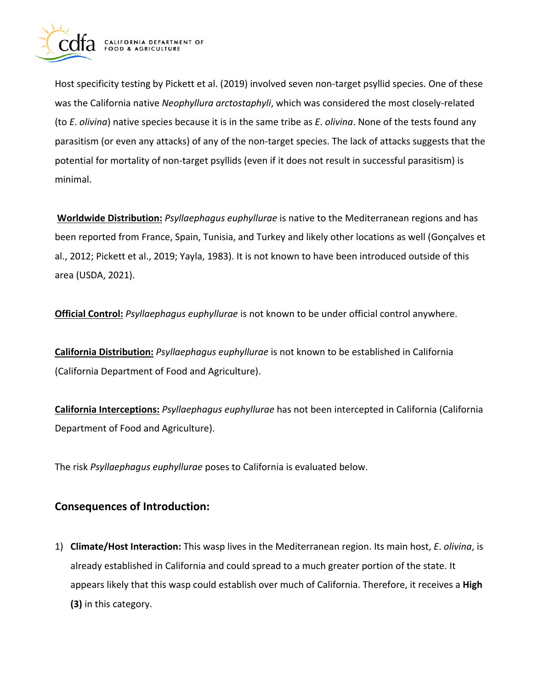

Host specificity testing by Pickett et al. (2019) involved seven non-target psyllid species. One of these was the California native *Neophyllura arctostaphyli*, which was considered the most closely-related (to *E*. *olivina*) native species because it is in the same tribe as *E*. *olivina*. None of the tests found any parasitism (or even any attacks) of any of the non-target species. The lack of attacks suggests that the potential for mortality of non-target psyllids (even if it does not result in successful parasitism) is minimal.

**Worldwide Distribution:** *Psyllaephagus euphyllurae* is native to the Mediterranean regions and has been reported from France, Spain, Tunisia, and Turkey and likely other locations as well (Gonçalves et al., 2012; Pickett et al., 2019; Yayla, 1983). It is not known to have been introduced outside of this area (USDA, 2021).

**Official Control:** *Psyllaephagus euphyllurae* is not known to be under official control anywhere.

**California Distribution:** *Psyllaephagus euphyllurae* is not known to be established in California (California Department of Food and Agriculture).

**California Interceptions:** *Psyllaephagus euphyllurae* has not been intercepted in California (California Department of Food and Agriculture).

The risk *Psyllaephagus euphyllurae* poses to California is evaluated below.

## **Consequences of Introduction:**

1) **Climate/Host Interaction:** This wasp lives in the Mediterranean region. Its main host, *E*. *olivina*, is already established in California and could spread to a much greater portion of the state. It appears likely that this wasp could establish over much of California. Therefore, it receives a **High (3)** in this category.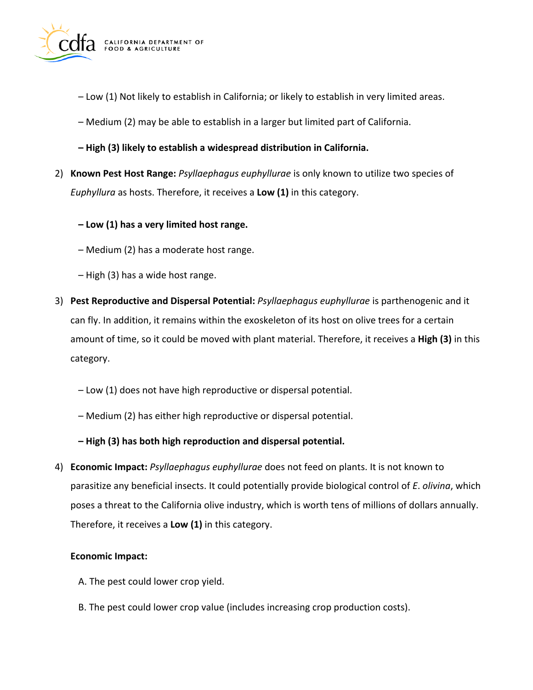

- Low (1) Not likely to establish in California; or likely to establish in very limited areas.
- Medium (2) may be able to establish in a larger but limited part of California.
- **– High (3) likely to establish a widespread distribution in California.**
- 2) **Known Pest Host Range:** *Psyllaephagus euphyllurae* is only known to utilize two species of *Euphyllura* as hosts. Therefore, it receives a **Low (1)** in this category.
	- **– Low (1) has a very limited host range.**
	- Medium (2) has a moderate host range.
	- High (3) has a wide host range.
- 3) **Pest Reproductive and Dispersal Potential:** *Psyllaephagus euphyllurae* is parthenogenic and it can fly. In addition, it remains within the exoskeleton of its host on olive trees for a certain amount of time, so it could be moved with plant material. Therefore, it receives a **High (3)** in this category.
	- Low (1) does not have high reproductive or dispersal potential.
	- Medium (2) has either high reproductive or dispersal potential.
	- **– High (3) has both high reproduction and dispersal potential.**
- 4) **Economic Impact:** *Psyllaephagus euphyllurae* does not feed on plants. It is not known to parasitize any beneficial insects. It could potentially provide biological control of *E*. *olivina*, which poses a threat to the California olive industry, which is worth tens of millions of dollars annually. Therefore, it receives a **Low (1)** in this category.

#### **Economic Impact:**

- A. The pest could lower crop yield.
- B. The pest could lower crop value (includes increasing crop production costs).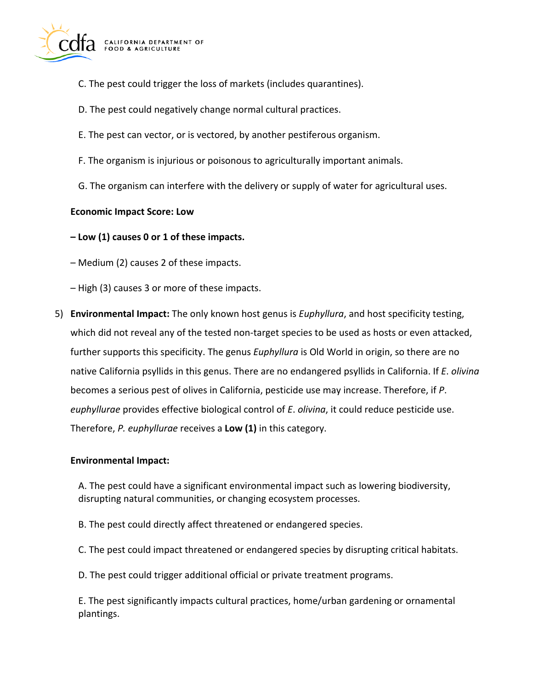

- C. The pest could trigger the loss of markets (includes quarantines).
- D. The pest could negatively change normal cultural practices.
- E. The pest can vector, or is vectored, by another pestiferous organism.
- F. The organism is injurious or poisonous to agriculturally important animals.
- G. The organism can interfere with the delivery or supply of water for agricultural uses.

#### **Economic Impact Score: Low**

**– Low (1) causes 0 or 1 of these impacts.** 

– Medium (2) causes 2 of these impacts.

– High (3) causes 3 or more of these impacts.

5) **Environmental Impact:** The only known host genus is *Euphyllura*, and host specificity testing, which did not reveal any of the tested non-target species to be used as hosts or even attacked, further supports this specificity. The genus *Euphyllura* is Old World in origin, so there are no native California psyllids in this genus. There are no endangered psyllids in California. If *E*. *olivina*  becomes a serious pest of olives in California, pesticide use may increase. Therefore, if *P*. *euphyllurae* provides effective biological control of *E*. *olivina*, it could reduce pesticide use. Therefore, *P. euphyllurae* receives a **Low (1)** in this category.

#### **Environmental Impact:**

A. The pest could have a significant environmental impact such as lowering biodiversity, disrupting natural communities, or changing ecosystem processes.

B. The pest could directly affect threatened or endangered species.

- C. The pest could impact threatened or endangered species by disrupting critical habitats.
- D. The pest could trigger additional official or private treatment programs.

E. The pest significantly impacts cultural practices, home/urban gardening or ornamental plantings.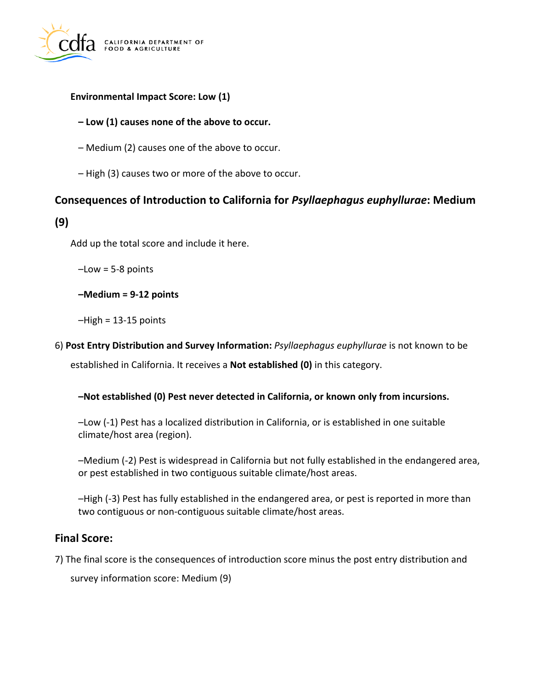

## **Environmental Impact Score: Low (1)**

## **– Low (1) causes none of the above to occur.**

- Medium (2) causes one of the above to occur.
- High (3) causes two or more of the above to occur.

# **Consequences of Introduction to California for** *Psyllaephagus euphyllurae***: Medium**

## **(9)**

Add up the total score and include it here.

 $-Low = 5-8$  points

**–Medium = 9-12 points** 

–High = 13-15 points

6) **Post Entry Distribution and Survey Information:** *Psyllaephagus euphyllurae* is not known to be established in California. It receives a **Not established (0)** in this category.

## **–Not established (0) Pest never detected in California, or known only from incursions.**

–Low (-1) Pest has a localized distribution in California, or is established in one suitable climate/host area (region).

–Medium (-2) Pest is widespread in California but not fully established in the endangered area, or pest established in two contiguous suitable climate/host areas.

–High (-3) Pest has fully established in the endangered area, or pest is reported in more than two contiguous or non-contiguous suitable climate/host areas.

## **Final Score:**

7) The final score is the consequences of introduction score minus the post entry distribution and survey information score: Medium (9)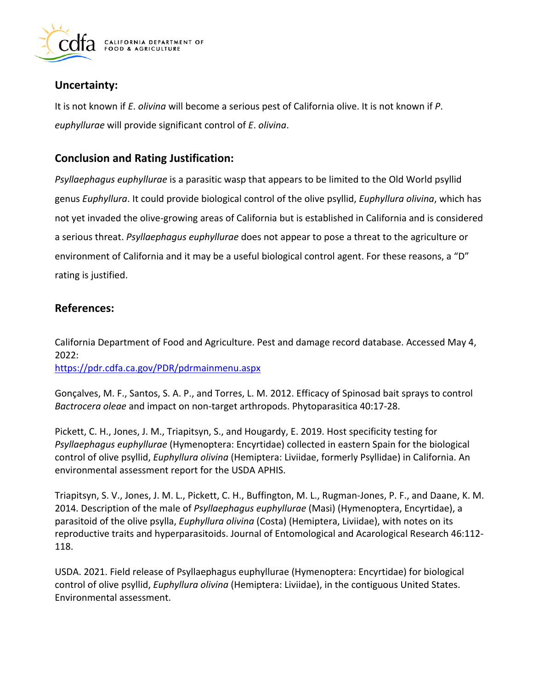

# **Uncertainty:**

It is not known if *E*. *olivina* will become a serious pest of California olive. It is not known if *P*. *euphyllurae* will provide significant control of *E*. *olivina*.

# **Conclusion and Rating Justification:**

*Psyllaephagus euphyllurae* is a parasitic wasp that appears to be limited to the Old World psyllid genus *Euphyllura*. It could provide biological control of the olive psyllid, *Euphyllura olivina*, which has not yet invaded the olive-growing areas of California but is established in California and is considered a serious threat. *Psyllaephagus euphyllurae* does not appear to pose a threat to the agriculture or environment of California and it may be a useful biological control agent. For these reasons, a "D" rating is justified.

# **References:**

California Department of Food and Agriculture. Pest and damage record database. Accessed May 4, 2022:

<https://pdr.cdfa.ca.gov/PDR/pdrmainmenu.aspx>

Gonçalves, M. F., Santos, S. A. P., and Torres, L. M. 2012. Efficacy of Spinosad bait sprays to control *Bactrocera oleae* and impact on non-target arthropods. Phytoparasitica 40:17-28.

Pickett, C. H., Jones, J. M., Triapitsyn, S., and Hougardy, E. 2019. Host specificity testing for *Psyllaephagus euphyllurae* (Hymenoptera: Encyrtidae) collected in eastern Spain for the biological control of olive psyllid, *Euphyllura olivina* (Hemiptera: Liviidae, formerly Psyllidae) in California. An environmental assessment report for the USDA APHIS.

Triapitsyn, S. V., Jones, J. M. L., Pickett, C. H., Buffington, M. L., Rugman-Jones, P. F., and Daane, K. M. 2014. Description of the male of *Psyllaephagus euphyllurae* (Masi) (Hymenoptera, Encyrtidae), a parasitoid of the olive psylla, *Euphyllura olivina* (Costa) (Hemiptera, Liviidae), with notes on its reproductive traits and hyperparasitoids. Journal of Entomological and Acarological Research 46:112- 118.

USDA. 2021. Field release of Psyllaephagus euphyllurae (Hymenoptera: Encyrtidae) for biological control of olive psyllid, *Euphyllura olivina* (Hemiptera: Liviidae), in the contiguous United States. Environmental assessment.